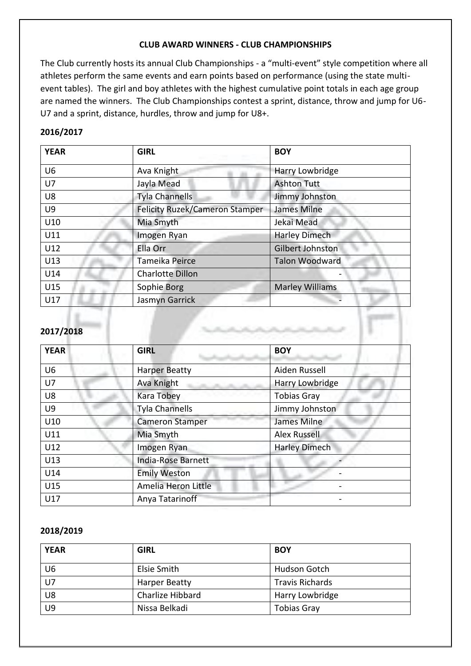## **CLUB AWARD WINNERS - CLUB CHAMPIONSHIPS**

The Club currently hosts its annual Club Championships - a "multi-event" style competition where all athletes perform the same events and earn points based on performance (using the state multievent tables). The girl and boy athletes with the highest cumulative point totals in each age group are named the winners. The Club Championships contest a sprint, distance, throw and jump for U6- U7 and a sprint, distance, hurdles, throw and jump for U8+.

# **2016/2017**

| <b>YEAR</b>    | <b>GIRL</b>                           | <b>BOY</b>             |
|----------------|---------------------------------------|------------------------|
| U <sub>6</sub> | Ava Knight                            | Harry Lowbridge        |
| U7             | Jayla Mead                            | <b>Ashton Tutt</b>     |
| U8             | <b>Tyla Channells</b>                 | Jimmy Johnston         |
| U9             | <b>Felicity Ruzek/Cameron Stamper</b> | James Milne            |
| U10            | Mia Smyth                             | Jekai Mead             |
| U11            | Imogen Ryan                           | <b>Harley Dimech</b>   |
| U12            | Ella Orr                              | Gilbert Johnston       |
| U13            | Tameika Peirce                        | <b>Talon Woodward</b>  |
| U14            | <b>Charlotte Dillon</b>               |                        |
| U15            | Sophie Borg                           | <b>Marley Williams</b> |
| U17            | Jasmyn Garrick                        |                        |

## **2017/2018**

| <b>YEAR</b>    | <b>GIRL</b>               | <b>BOY</b>           |  |
|----------------|---------------------------|----------------------|--|
| U <sub>6</sub> | <b>Harper Beatty</b>      | Aiden Russell        |  |
| U7             | Ava Knight                | Harry Lowbridge      |  |
| U8             | <b>Kara Tobey</b>         | <b>Tobias Gray</b>   |  |
| U <sub>9</sub> | <b>Tyla Channells</b>     | Jimmy Johnston       |  |
| U10            | <b>Cameron Stamper</b>    | James Milne          |  |
| U11            | Mia Smyth                 | <b>Alex Russell</b>  |  |
| U12            | Imogen Ryan               | <b>Harley Dimech</b> |  |
| U13            | <b>India-Rose Barnett</b> |                      |  |
| U14            | <b>Emily Weston</b>       |                      |  |
| U15            | Amelia Heron Little       |                      |  |
| U17            | Anya Tatarinoff           |                      |  |

### **2018/2019**

| <b>YEAR</b>    | <b>GIRL</b>      | <b>BOY</b>             |
|----------------|------------------|------------------------|
| U <sub>6</sub> | Elsie Smith      | Hudson Gotch           |
| $U$ 7          | Harper Beatty    | <b>Travis Richards</b> |
| U8             | Charlize Hibbard | Harry Lowbridge        |
| U <sub>9</sub> | Nissa Belkadi    | <b>Tobias Gray</b>     |